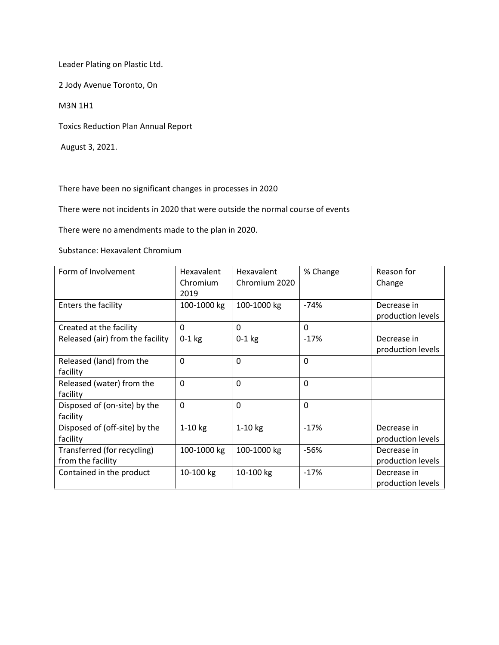Leader Plating on Plastic Ltd.

2 Jody Avenue Toronto, On

M3N 1H1

Toxics Reduction Plan Annual Report

August 3, 2021.

There have been no significant changes in processes in 2020

There were not incidents in 2020 that were outside the normal course of events

There were no amendments made to the plan in 2020.

Substance: Hexavalent Chromium

| Form of Involvement                              | Hexavalent<br>Chromium<br>2019 | Hexavalent<br>Chromium 2020 | % Change | Reason for<br>Change             |
|--------------------------------------------------|--------------------------------|-----------------------------|----------|----------------------------------|
| Enters the facility                              | 100-1000 kg                    | 100-1000 kg                 | $-74%$   | Decrease in<br>production levels |
| Created at the facility                          | $\mathbf{0}$                   | 0                           | 0        |                                  |
| Released (air) from the facility                 | $0-1$ kg                       | $0-1$ kg                    | $-17%$   | Decrease in<br>production levels |
| Released (land) from the<br>facility             | $\mathbf 0$                    | $\Omega$                    | 0        |                                  |
| Released (water) from the<br>facility            | $\mathbf 0$                    | $\mathbf 0$                 | 0        |                                  |
| Disposed of (on-site) by the<br>facility         | $\Omega$                       | $\Omega$                    | $\Omega$ |                                  |
| Disposed of (off-site) by the<br>facility        | $1-10$ kg                      | $1-10$ kg                   | $-17%$   | Decrease in<br>production levels |
| Transferred (for recycling)<br>from the facility | 100-1000 kg                    | 100-1000 kg                 | $-56%$   | Decrease in<br>production levels |
| Contained in the product                         | 10-100 kg                      | 10-100 kg                   | $-17%$   | Decrease in<br>production levels |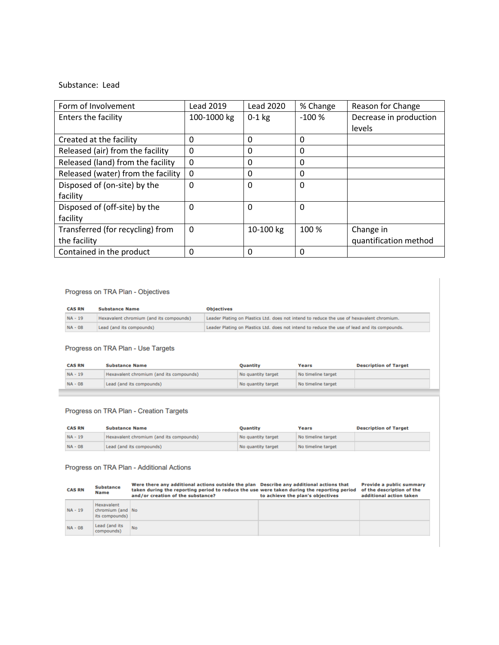## Substance: Lead

| Form of Involvement                | <b>Lead 2019</b> | <b>Lead 2020</b> | % Change | Reason for Change      |
|------------------------------------|------------------|------------------|----------|------------------------|
| Enters the facility                | 100-1000 kg      | $0-1$ kg         | $-100%$  | Decrease in production |
|                                    |                  |                  |          | levels                 |
| Created at the facility            | 0                | 0                | 0        |                        |
| Released (air) from the facility   | 0                | 0                | 0        |                        |
| Released (land) from the facility  | $\Omega$         | 0                | 0        |                        |
| Released (water) from the facility | 0                | 0                | 0        |                        |
| Disposed of (on-site) by the       | 0                | 0                | $\Omega$ |                        |
| facility                           |                  |                  |          |                        |
| Disposed of (off-site) by the      | 0                | 0                | $\Omega$ |                        |
| facility                           |                  |                  |          |                        |
| Transferred (for recycling) from   | $\Omega$         | 10-100 kg        | 100 %    | Change in              |
| the facility                       |                  |                  |          | quantification method  |
| Contained in the product           | 0                | 0                | 0        |                        |

## Progress on TRA Plan - Objectives

| <b>CAS RN</b> | <b>Substance Name</b>                   | <b>Objectives</b>                                                                            |
|---------------|-----------------------------------------|----------------------------------------------------------------------------------------------|
| $NA - 19$     | Hexavalent chromium (and its compounds) | Leader Plating on Plastics Ltd. does not intend to reduce the use of hexavalent chromium.    |
| $NA - 08$     | Lead (and its compounds)                | Leader Plating on Plastics Ltd. does not intend to reduce the use of lead and its compounds. |

## Progress on TRA Plan - Use Targets

| Hexavalent chromium (and its compounds)<br>$NA - 19$<br>No timeline target<br>No quantity target | <b>CAS RN</b><br><b>Substance Name</b> |                          | Quantity           | Years              | <b>Description of Target</b> |
|--------------------------------------------------------------------------------------------------|----------------------------------------|--------------------------|--------------------|--------------------|------------------------------|
|                                                                                                  |                                        |                          |                    |                    |                              |
|                                                                                                  | $NA - 08$                              | Lead (and its compounds) | No quantity target | No timeline target |                              |

# Progress on TRA Plan - Creation Targets

| <b>CAS RN</b> | <b>Substance Name</b>                   | <b>Quantity</b>    | Years              | <b>Description of Target</b> |
|---------------|-----------------------------------------|--------------------|--------------------|------------------------------|
| $NA - 19$     | Hexavalent chromium (and its compounds) | No quantity target | No timeline target |                              |
| $NA - 08$     | Lead (and its compounds)                | No quantity target | No timeline target |                              |

## Progress on TRA Plan - Additional Actions

| <b>CAS RN</b> | <b>Substance</b><br><b>Name</b>                  | Were there any additional actions outside the plan Describe any additional actions that<br>taken during the reporting period to reduce the use were taken during the reporting period<br>and/or creation of the substance? | to achieve the plan's objectives | <b>Provide a public summary</b><br>of the description of the<br>additional action taken |
|---------------|--------------------------------------------------|----------------------------------------------------------------------------------------------------------------------------------------------------------------------------------------------------------------------------|----------------------------------|-----------------------------------------------------------------------------------------|
| $NA - 19$     | Hexavalent<br>chromium (and No<br>its compounds) |                                                                                                                                                                                                                            |                                  |                                                                                         |
| $NA - 08$     | Lead (and its<br>compounds)                      | <b>No</b>                                                                                                                                                                                                                  |                                  |                                                                                         |